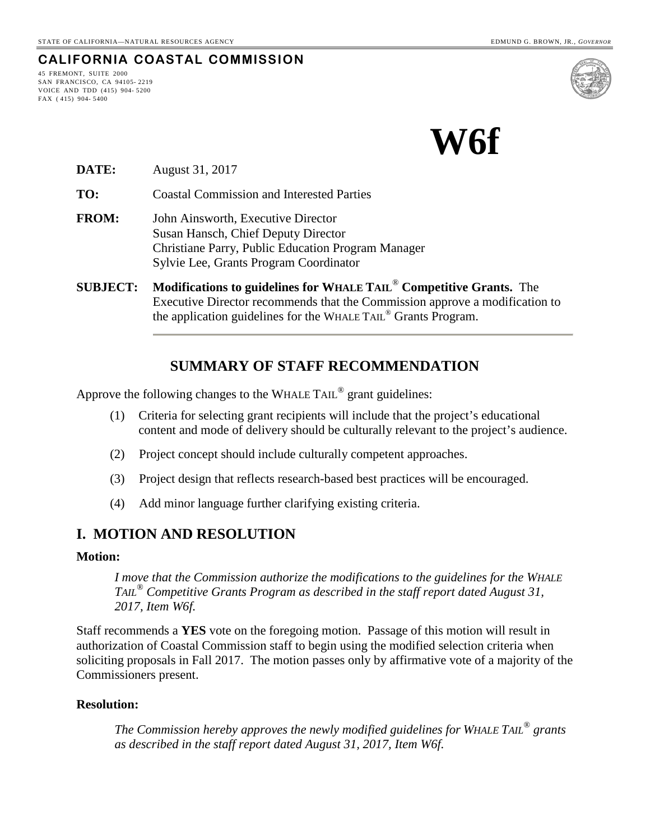**CALIFORNIA COASTAL COMMISSION**

45 FREMONT, SUITE 2000 SAN FRANCISCO, CA 94105- 2219 VOICE AND TDD (415) 904- 5200 FAX ( 415) 904- 5400



**DATE:** August 31, 2017

**TO:** Coastal Commission and Interested Parties

- **FROM:** John Ainsworth, Executive Director Susan Hansch, Chief Deputy Director Christiane Parry, Public Education Program Manager Sylvie Lee, Grants Program Coordinator
- **SUBJECT: Modifications to guidelines for WHALE TAIL**® **Competitive Grants.** The Executive Director recommends that the Commission approve a modification to the application guidelines for the WHALE TAIL® Grants Program.

# **SUMMARY OF STAFF RECOMMENDATION**

Approve the following changes to the WHALE TAIL® grant guidelines:

- (1) Criteria for selecting grant recipients will include that the project's educational content and mode of delivery should be culturally relevant to the project's audience.
- (2) Project concept should include culturally competent approaches.
- (3) Project design that reflects research-based best practices will be encouraged.
- (4) Add minor language further clarifying existing criteria.

## **I. MOTION AND RESOLUTION**

### **Motion:**

*I move that the Commission authorize the modifications to the guidelines for the WHALE TAIL® Competitive Grants Program as described in the staff report dated August 31, 2017, Item W6f.* 

Staff recommends a **YES** vote on the foregoing motion. Passage of this motion will result in authorization of Coastal Commission staff to begin using the modified selection criteria when soliciting proposals in Fall 2017. The motion passes only by affirmative vote of a majority of the Commissioners present.

### **Resolution:**

*The Commission hereby approves the newly modified guidelines for WHALE TAIL® grants as described in the staff report dated August 31, 2017, Item W6f.*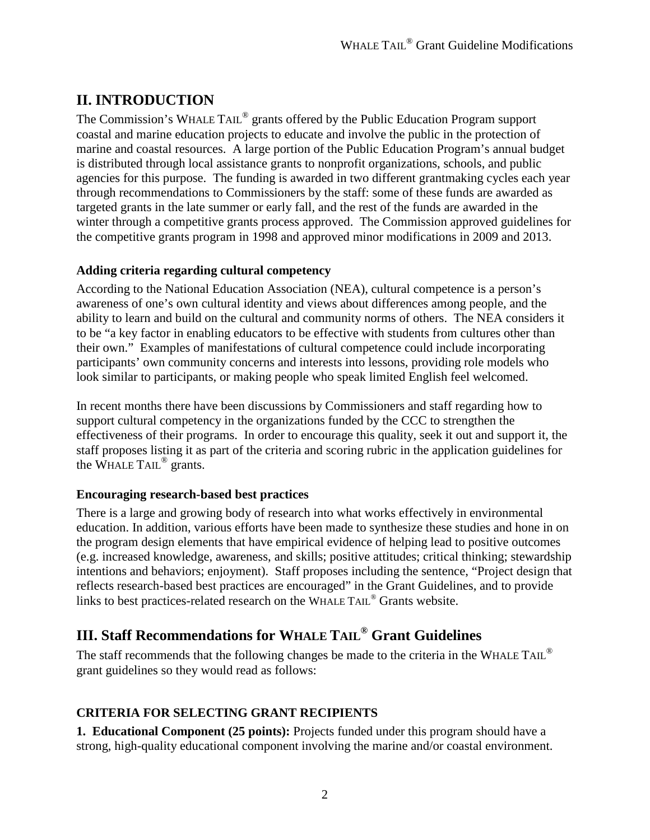# **II. INTRODUCTION**

The Commission's WHALE TAIL® grants offered by the Public Education Program support coastal and marine education projects to educate and involve the public in the protection of marine and coastal resources. A large portion of the Public Education Program's annual budget is distributed through local assistance grants to nonprofit organizations, schools, and public agencies for this purpose. The funding is awarded in two different grantmaking cycles each year through recommendations to Commissioners by the staff: some of these funds are awarded as targeted grants in the late summer or early fall, and the rest of the funds are awarded in the winter through a competitive grants process approved. The Commission approved guidelines for the competitive grants program in 1998 and approved minor modifications in 2009 and 2013.

## **Adding criteria regarding cultural competency**

According to the National Education Association (NEA), cultural competence is a person's awareness of one's own cultural identity and views about differences among people, and the ability to learn and build on the cultural and community norms of others. The NEA considers it to be "a key factor in enabling educators to be effective with students from cultures other than their own." Examples of manifestations of cultural competence could include incorporating participants' own community concerns and interests into lessons, providing role models who look similar to participants, or making people who speak limited English feel welcomed.

In recent months there have been discussions by Commissioners and staff regarding how to support cultural competency in the organizations funded by the CCC to strengthen the effectiveness of their programs. In order to encourage this quality, seek it out and support it, the staff proposes listing it as part of the criteria and scoring rubric in the application guidelines for the WHALE TAIL<sup>®</sup> grants.

# **Encouraging research-based best practices**

There is a large and growing body of research into what works effectively in environmental education. In addition, various efforts have been made to synthesize these studies and hone in on the program design elements that have empirical evidence of helping lead to positive outcomes (e.g. increased knowledge, awareness, and skills; positive attitudes; critical thinking; stewardship intentions and behaviors; enjoyment). Staff proposes including the sentence, "Project design that reflects research-based best practices are encouraged" in the Grant Guidelines, and to provide links to best practices-related research on the WHALE TAIL® Grants website.

# **III. Staff Recommendations for WHALE TAIL® Grant Guidelines**

The staff recommends that the following changes be made to the criteria in the WHALE TAIL<sup>®</sup> grant guidelines so they would read as follows:

# **CRITERIA FOR SELECTING GRANT RECIPIENTS**

**1. Educational Component (25 points):** Projects funded under this program should have a strong, high-quality educational component involving the marine and/or coastal environment.